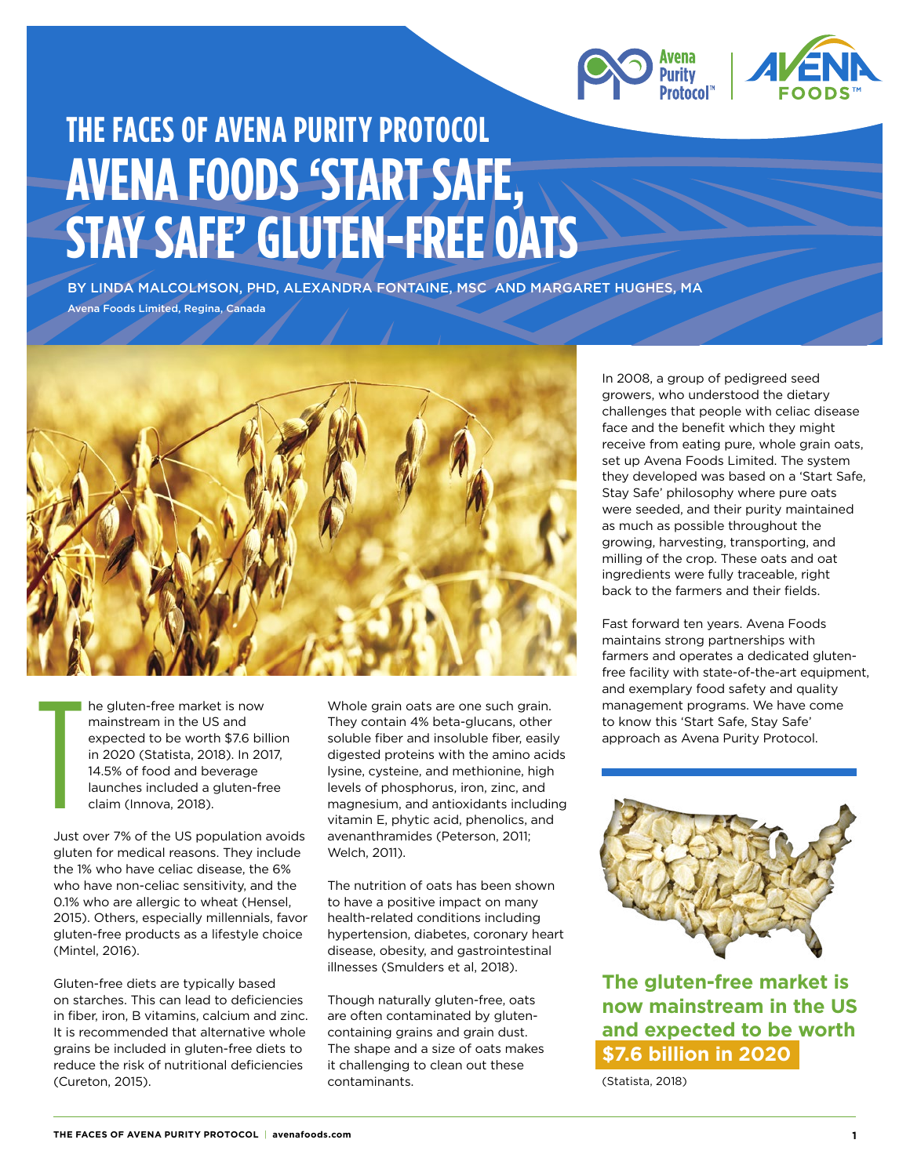



# **THE FACES OF AVENA PURITY PROTOCOL AVENA FOODS 'START SAFE, STAY SAFE' GLUTEN-FREE OATS**

BY LINDA MALCOLMSON, PHD, ALEXANDRA FONTAINE, MSC AND MARGARET HUGHES, MA

Avena Foods Limited, Regina, Canada



he gluten-free market is now mainstream in the US and expected to be worth \$7.6 billion in 2020 (Statista, 2018). In 2017, 14.5% of food and beverage launches included a gluten-free claim (Innova, 2018).

Just over 7% of the US population avoids gluten for medical reasons. They include the 1% who have celiac disease, the 6% who have non-celiac sensitivity, and the 0.1% who are allergic to wheat (Hensel, 2015). Others, especially millennials, favor gluten-free products as a lifestyle choice (Mintel, 2016).

Gluten-free diets are typically based on starches. This can lead to deficiencies in fiber, iron, B vitamins, calcium and zinc. It is recommended that alternative whole grains be included in gluten-free diets to reduce the risk of nutritional deficiencies (Cureton, 2015).

Whole grain oats are one such grain. They contain 4% beta-glucans, other soluble fiber and insoluble fiber, easily digested proteins with the amino acids lysine, cysteine, and methionine, high levels of phosphorus, iron, zinc, and magnesium, and antioxidants including vitamin E, phytic acid, phenolics, and avenanthramides (Peterson, 2011; Welch, 2011).

The nutrition of oats has been shown to have a positive impact on many health-related conditions including hypertension, diabetes, coronary heart disease, obesity, and gastrointestinal illnesses (Smulders et al, 2018).

Though naturally gluten-free, oats are often contaminated by glutencontaining grains and grain dust. The shape and a size of oats makes it challenging to clean out these contaminants.

In 2008, a group of pedigreed seed growers, who understood the dietary challenges that people with celiac disease face and the benefit which they might receive from eating pure, whole grain oats, set up Avena Foods Limited. The system they developed was based on a 'Start Safe, Stay Safe' philosophy where pure oats were seeded, and their purity maintained as much as possible throughout the growing, harvesting, transporting, and milling of the crop. These oats and oat ingredients were fully traceable, right back to the farmers and their fields.

Fast forward ten years. Avena Foods maintains strong partnerships with farmers and operates a dedicated glutenfree facility with state-of-the-art equipment, and exemplary food safety and quality management programs. We have come to know this 'Start Safe, Stay Safe' approach as Avena Purity Protocol.



**The gluten-free market is now mainstream in the US and expected to be worth \$7.6 billion in 2020**

(Statista, 2018)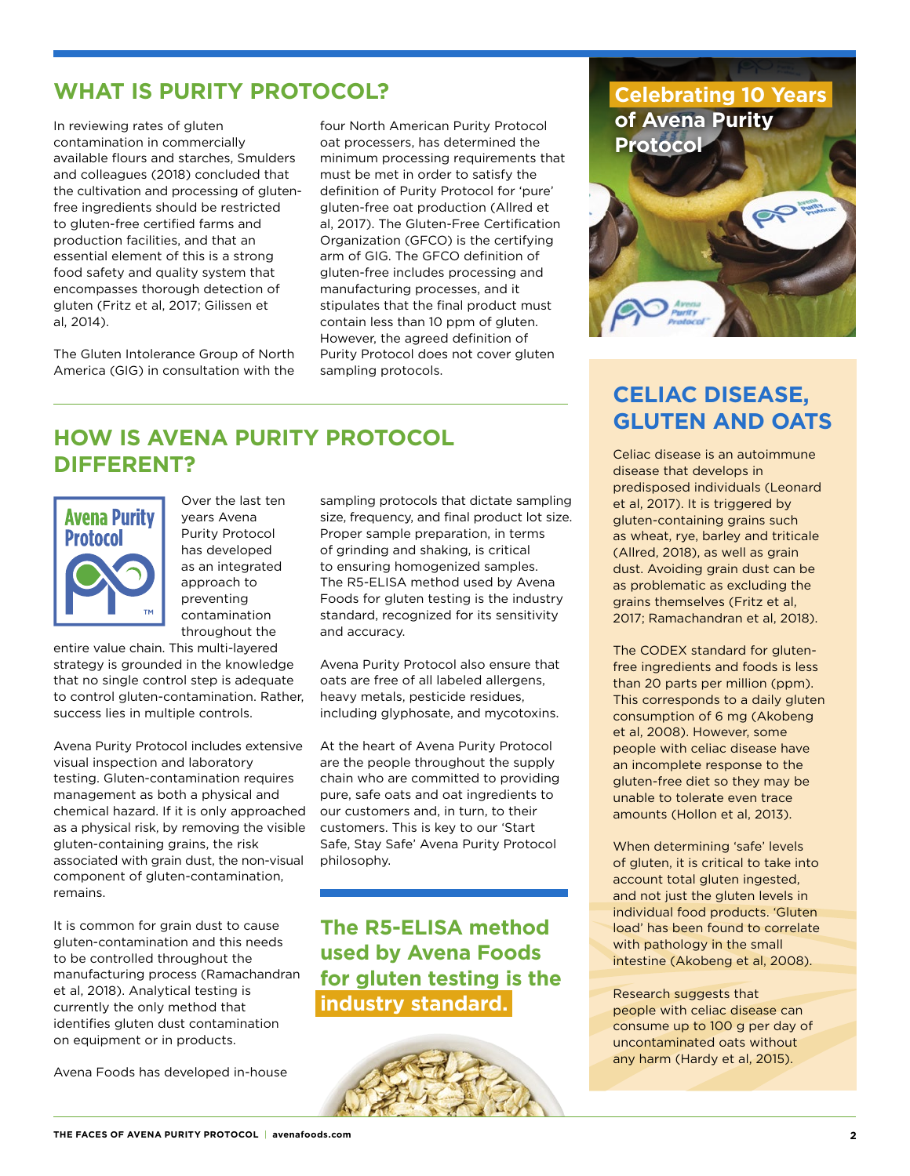# **WHAT IS PURITY PROTOCOL?**

In reviewing rates of gluten contamination in commercially available flours and starches, Smulders and colleagues (2018) concluded that the cultivation and processing of glutenfree ingredients should be restricted to gluten-free certified farms and production facilities, and that an essential element of this is a strong food safety and quality system that encompasses thorough detection of gluten (Fritz et al, 2017; Gilissen et al, 2014).

The Gluten Intolerance Group of North America (GIG) in consultation with the

four North American Purity Protocol oat processers, has determined the minimum processing requirements that must be met in order to satisfy the definition of Purity Protocol for 'pure' gluten-free oat production (Allred et al, 2017). The Gluten-Free Certification Organization (GFCO) is the certifying arm of GIG. The GFCO definition of gluten-free includes processing and manufacturing processes, and it stipulates that the final product must contain less than 10 ppm of gluten. However, the agreed definition of Purity Protocol does not cover gluten sampling protocols.

## **HOW IS AVENA PURITY PROTOCOL DIFFERENT?** Celiac disease is an autoimmune



Over the last ten years Avena Purity Protocol has developed as an integrated approach to preventing contamination throughout the

entire value chain. This multi-layered strategy is grounded in the knowledge that no single control step is adequate to control gluten-contamination. Rather, success lies in multiple controls.

Avena Purity Protocol includes extensive visual inspection and laboratory testing. Gluten-contamination requires management as both a physical and chemical hazard. If it is only approached as a physical risk, by removing the visible gluten-containing grains, the risk associated with grain dust, the non-visual component of gluten-contamination, remains.

It is common for grain dust to cause gluten-contamination and this needs to be controlled throughout the manufacturing process (Ramachandran et al, 2018). Analytical testing is currently the only method that identifies gluten dust contamination on equipment or in products.

Avena Foods has developed in-house

sampling protocols that dictate sampling size, frequency, and final product lot size. Proper sample preparation, in terms of grinding and shaking, is critical to ensuring homogenized samples. The R5-ELISA method used by Avena Foods for gluten testing is the industry standard, recognized for its sensitivity and accuracy.

Avena Purity Protocol also ensure that oats are free of all labeled allergens, heavy metals, pesticide residues, including glyphosate, and mycotoxins.

At the heart of Avena Purity Protocol are the people throughout the supply chain who are committed to providing pure, safe oats and oat ingredients to our customers and, in turn, to their customers. This is key to our 'Start Safe, Stay Safe' Avena Purity Protocol philosophy.

**The R5-ELISA method used by Avena Foods for gluten testing is the industry standard.** 





# **CELIAC DISEASE, GLUTEN AND OATS**

disease that develops in predisposed individuals (Leonard et al, 2017). It is triggered by gluten-containing grains such as wheat, rye, barley and triticale (Allred, 2018), as well as grain dust. Avoiding grain dust can be as problematic as excluding the grains themselves (Fritz et al, 2017; Ramachandran et al, 2018).

The CODEX standard for glutenfree ingredients and foods is less than 20 parts per million (ppm). This corresponds to a daily gluten consumption of 6 mg (Akobeng et al, 2008). However, some people with celiac disease have an incomplete response to the gluten-free diet so they may be unable to tolerate even trace amounts (Hollon et al, 2013).

When determining 'safe' levels of gluten, it is critical to take into account total gluten ingested, and not just the gluten levels in individual food products. 'Gluten load' has been found to correlate with pathology in the small intestine (Akobeng et al, 2008).

Research suggests that people with celiac disease can consume up to 100 g per day of uncontaminated oats without any harm (Hardy et al, 2015).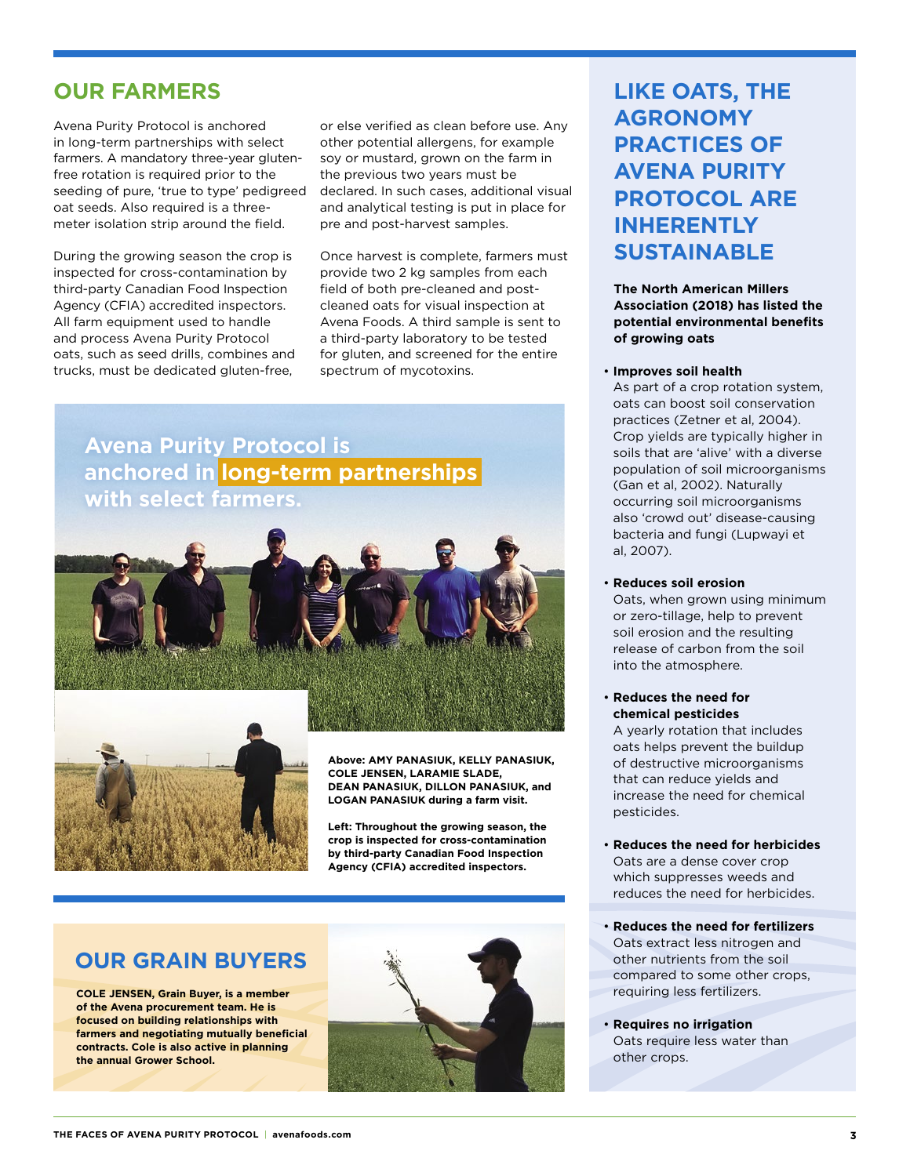### **OUR FARMERS**

Avena Purity Protocol is anchored in long-term partnerships with select farmers. A mandatory three-year glutenfree rotation is required prior to the seeding of pure, 'true to type' pedigreed oat seeds. Also required is a threemeter isolation strip around the field.

During the growing season the crop is inspected for cross-contamination by third-party Canadian Food Inspection Agency (CFIA) accredited inspectors. All farm equipment used to handle and process Avena Purity Protocol oats, such as seed drills, combines and trucks, must be dedicated gluten-free,

or else verified as clean before use. Any other potential allergens, for example soy or mustard, grown on the farm in the previous two years must be declared. In such cases, additional visual and analytical testing is put in place for pre and post-harvest samples.

Once harvest is complete, farmers must provide two 2 kg samples from each field of both pre-cleaned and postcleaned oats for visual inspection at Avena Foods. A third sample is sent to a third-party laboratory to be tested for gluten, and screened for the entire spectrum of mycotoxins.

## **long-term partnerships anchored in Avena Purity Protocol is with select farmers.**





**Above: AMY PANASIUK, KELLY PANASIUK, COLE JENSEN, LARAMIE SLADE, DEAN PANASIUK, DILLON PANASIUK, and LOGAN PANASIUK during a farm visit.** 

**Left: Throughout the growing season, the crop is inspected for cross-contamination by third-party Canadian Food Inspection Agency (CFIA) accredited inspectors.**

#### **OUR GRAIN BUYERS**

**COLE JENSEN, Grain Buyer, is a member of the Avena procurement team. He is focused on building relationships with farmers and negotiating mutually beneficial contracts. Cole is also active in planning the annual Grower School.** 



# **LIKE OATS, THE AGRONOMY PRACTICES OF AVENA PURITY PROTOCOL ARE INHERENTLY SUSTAINABLE**

**The North American Millers Association (2018) has listed the potential environmental benefits of growing oats**

#### • **Improves soil health**

As part of a crop rotation system, oats can boost soil conservation practices (Zetner et al, 2004). Crop yields are typically higher in soils that are 'alive' with a diverse population of soil microorganisms (Gan et al, 2002). Naturally occurring soil microorganisms also 'crowd out' disease-causing bacteria and fungi (Lupwayi et al, 2007).

#### • **Reduces soil erosion**

Oats, when grown using minimum or zero-tillage, help to prevent soil erosion and the resulting release of carbon from the soil into the atmosphere.

#### • **Reduces the need for chemical pesticides**

A yearly rotation that includes oats helps prevent the buildup of destructive microorganisms that can reduce yields and increase the need for chemical pesticides.

- **Reduces the need for herbicides** Oats are a dense cover crop which suppresses weeds and reduces the need for herbicides.
- **Reduces the need for fertilizers** Oats extract less nitrogen and other nutrients from the soil compared to some other crops, requiring less fertilizers.
- **Requires no irrigation** Oats require less water than other crops.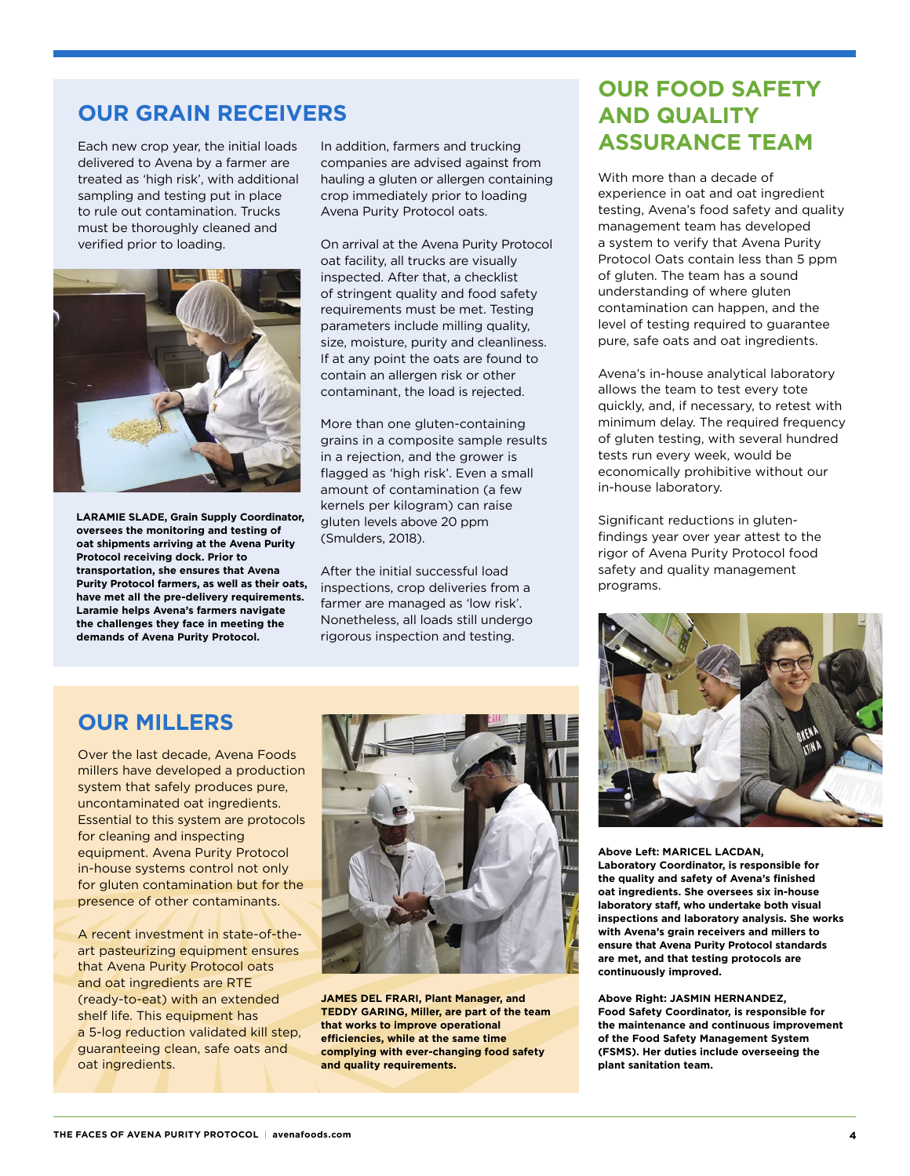## **OUR GRAIN RECEIVERS**

Each new crop year, the initial loads delivered to Avena by a farmer are treated as 'high risk', with additional sampling and testing put in place to rule out contamination. Trucks must be thoroughly cleaned and verified prior to loading.



**LARAMIE SLADE, Grain Supply Coordinator, oversees the monitoring and testing of oat shipments arriving at the Avena Purity Protocol receiving dock. Prior to transportation, she ensures that Avena Purity Protocol farmers, as well as their oats, have met all the pre-delivery requirements. Laramie helps Avena's farmers navigate the challenges they face in meeting the demands of Avena Purity Protocol.** 

In addition, farmers and trucking companies are advised against from hauling a gluten or allergen containing crop immediately prior to loading Avena Purity Protocol oats.

On arrival at the Avena Purity Protocol oat facility, all trucks are visually inspected. After that, a checklist of stringent quality and food safety requirements must be met. Testing parameters include milling quality, size, moisture, purity and cleanliness. If at any point the oats are found to contain an allergen risk or other contaminant, the load is rejected.

More than one gluten-containing grains in a composite sample results in a rejection, and the grower is flagged as 'high risk'. Even a small amount of contamination (a few kernels per kilogram) can raise gluten levels above 20 ppm (Smulders, 2018).

After the initial successful load inspections, crop deliveries from a farmer are managed as 'low risk'. Nonetheless, all loads still undergo rigorous inspection and testing.

## **OUR FOOD SAFETY AND QUALITY ASSURANCE TEAM**

With more than a decade of experience in oat and oat ingredient testing, Avena's food safety and quality management team has developed a system to verify that Avena Purity Protocol Oats contain less than 5 ppm of gluten. The team has a sound understanding of where gluten contamination can happen, and the level of testing required to guarantee pure, safe oats and oat ingredients.

Avena's in-house analytical laboratory allows the team to test every tote quickly, and, if necessary, to retest with minimum delay. The required frequency of gluten testing, with several hundred tests run every week, would be economically prohibitive without our in-house laboratory.

Significant reductions in glutenfindings year over year attest to the rigor of Avena Purity Protocol food safety and quality management programs.

#### **OUR MILLERS**

Over the last decade, Avena Foods millers have developed a production system that safely produces pure, uncontaminated oat ingredients. Essential to this system are protocols for cleaning and inspecting equipment. Avena Purity Protocol in-house systems control not only for gluten contamination but for the presence of other contaminants.

A recent investment in state-of-theart pasteurizing equipment ensures that Avena Purity Protocol oats and oat ingredients are RTE (ready-to-eat) with an extended shelf life. This equipment has a 5-log reduction validated kill step, guaranteeing clean, safe oats and oat ingredients.



**JAMES DEL FRARI, Plant Manager, and TEDDY GARING, Miller, are part of the team that works to improve operational efficiencies, while at the same time complying with ever-changing food safety and quality requirements.** 



**Above Left: MARICEL LACDAN, Laboratory Coordinator, is responsible for the quality and safety of Avena's finished oat ingredients. She oversees six in-house laboratory staff, who undertake both visual inspections and laboratory analysis. She works with Avena's grain receivers and millers to ensure that Avena Purity Protocol standards are met, and that testing protocols are continuously improved.**

**Above Right: JASMIN HERNANDEZ, Food Safety Coordinator, is responsible for the maintenance and continuous improvement of the Food Safety Management System (FSMS). Her duties include overseeing the plant sanitation team.**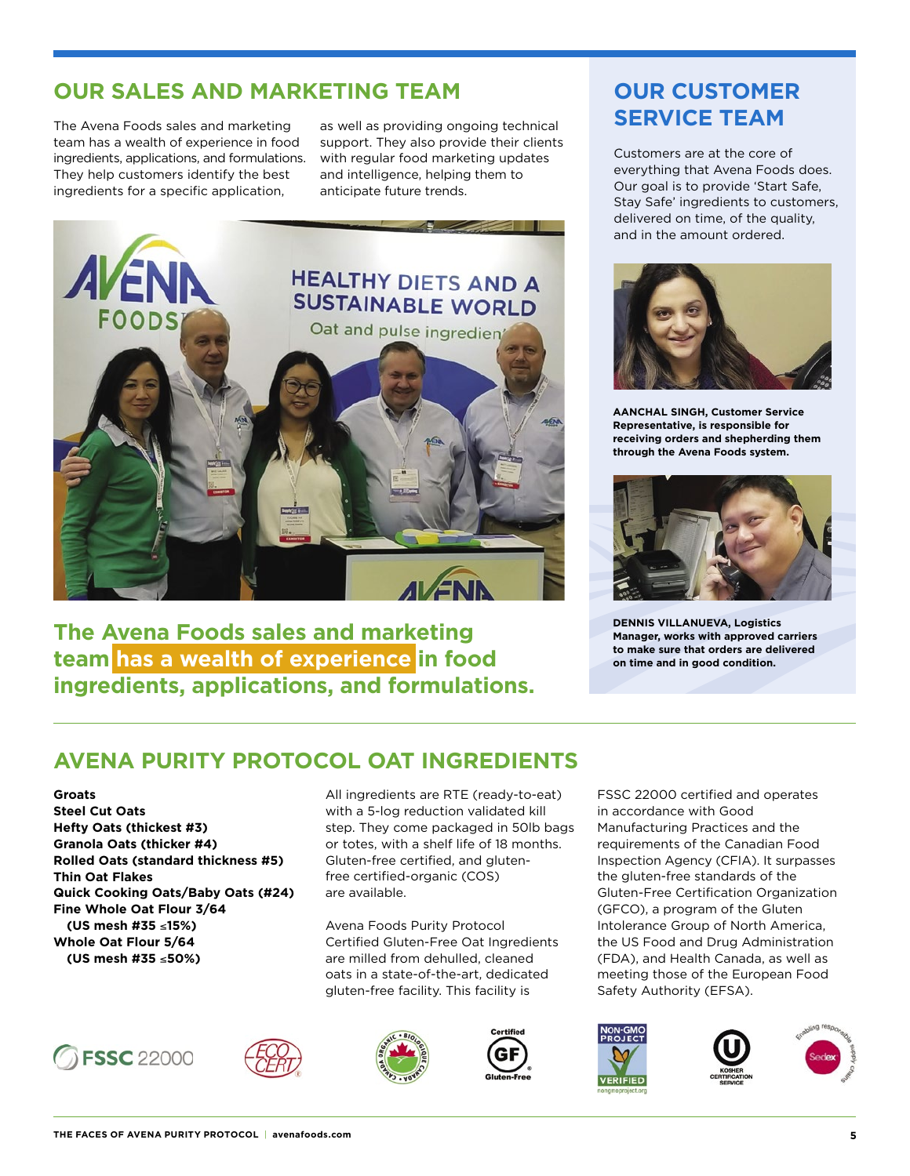# **OUR SALES AND MARKETING TEAM COUR CUSTOMER**

The Avena Foods sales and marketing team has a wealth of experience in food ingredients, applications, and formulations. They help customers identify the best ingredients for a specific application,

as well as providing ongoing technical support. They also provide their clients with regular food marketing updates and intelligence, helping them to anticipate future trends.



**The Avena Foods sales and marketing team has a wealth of experience in food ingredients, applications, and formulations.**

# **SERVICE TEAM**

Customers are at the core of everything that Avena Foods does. Our goal is to provide 'Start Safe, Stay Safe' ingredients to customers, delivered on time, of the quality, and in the amount ordered.



**AANCHAL SINGH, Customer Service Representative, is responsible for receiving orders and shepherding them through the Avena Foods system.**



**DENNIS VILLANUEVA, Logistics Manager, works with approved carriers to make sure that orders are delivered on time and in good condition.**

## **AVENA PURITY PROTOCOL OAT INGREDIENTS**

#### **Groats**

**Steel Cut Oats Hefty Oats (thickest #3) Granola Oats (thicker #4) Rolled Oats (standard thickness #5) Thin Oat Flakes Quick Cooking Oats/Baby Oats (#24) Fine Whole Oat Flour 3/64 (US mesh #35** ≤**15%) Whole Oat Flour 5/64 (US mesh #35** ≤**50%)**

All ingredients are RTE (ready-to-eat) with a 5-log reduction validated kill step. They come packaged in 50lb bags or totes, with a shelf life of 18 months. Gluten-free certified, and glutenfree certified-organic (COS) are available.

Avena Foods Purity Protocol Certified Gluten-Free Oat Ingredients are milled from dehulled, cleaned oats in a state-of-the-art, dedicated gluten-free facility. This facility is





FSSC 22000 certified and operates in accordance with Good Manufacturing Practices and the requirements of the Canadian Food Inspection Agency (CFIA). It surpasses the gluten-free standards of the Gluten-Free Certification Organization (GFCO), a program of the Gluten Intolerance Group of North America, the US Food and Drug Administration (FDA), and Health Canada, as well as meeting those of the European Food Safety Authority (EFSA).







**FSSC** 22000